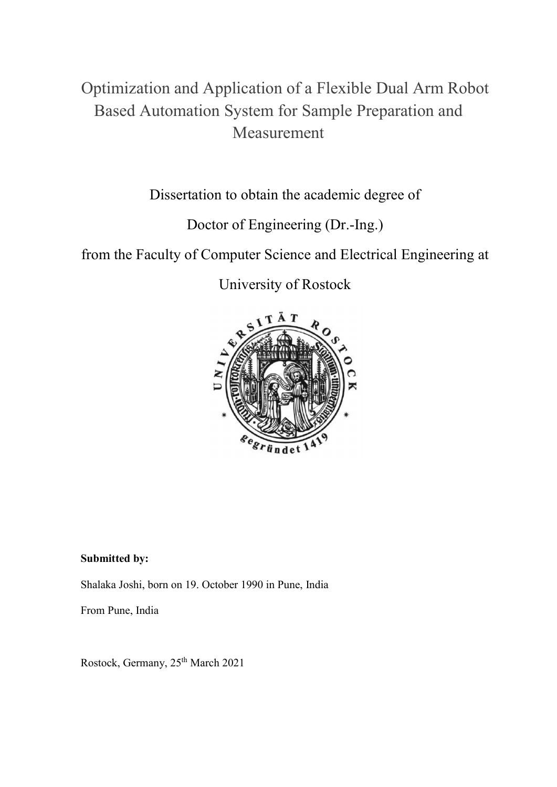# Optimization and Application of a Flexible Dual Arm Robot Based Automation System for Sample Preparation and Measurement

Dissertation to obtain the academic degree of

Doctor of Engineering (Dr.-Ing.)

from the Faculty of Computer Science and Electrical Engineering at

University of Rostock



Submitted by: Shalaka Joshi, born on 19. October 1990 in Pune, India

From Pune, India

Rostock, Germany, 25th March 2021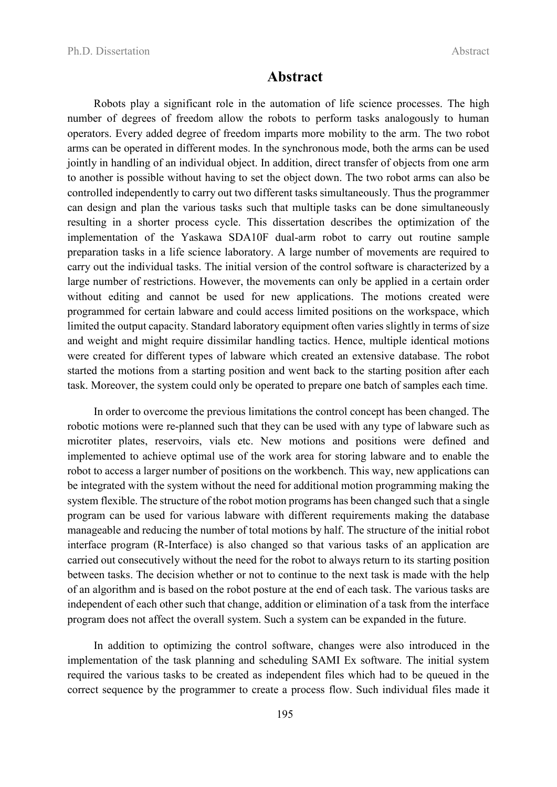### Abstract

Robots play a significant role in the automation of life science processes. The high number of degrees of freedom allow the robots to perform tasks analogously to human operators. Every added degree of freedom imparts more mobility to the arm. The two robot arms can be operated in different modes. In the synchronous mode, both the arms can be used jointly in handling of an individual object. In addition, direct transfer of objects from one arm to another is possible without having to set the object down. The two robot arms can also be controlled independently to carry out two different tasks simultaneously. Thus the programmer can design and plan the various tasks such that multiple tasks can be done simultaneously resulting in a shorter process cycle. This dissertation describes the optimization of the implementation of the Yaskawa SDA10F dual-arm robot to carry out routine sample preparation tasks in a life science laboratory. A large number of movements are required to carry out the individual tasks. The initial version of the control software is characterized by a large number of restrictions. However, the movements can only be applied in a certain order without editing and cannot be used for new applications. The motions created were programmed for certain labware and could access limited positions on the workspace, which limited the output capacity. Standard laboratory equipment often varies slightly in terms of size and weight and might require dissimilar handling tactics. Hence, multiple identical motions were created for different types of labware which created an extensive database. The robot started the motions from a starting position and went back to the starting position after each task. Moreover, the system could only be operated to prepare one batch of samples each time.

In order to overcome the previous limitations the control concept has been changed. The robotic motions were re-planned such that they can be used with any type of labware such as microtiter plates, reservoirs, vials etc. New motions and positions were defined and implemented to achieve optimal use of the work area for storing labware and to enable the robot to access a larger number of positions on the workbench. This way, new applications can be integrated with the system without the need for additional motion programming making the system flexible. The structure of the robot motion programs has been changed such that a single program can be used for various labware with different requirements making the database manageable and reducing the number of total motions by half. The structure of the initial robot interface program (R-Interface) is also changed so that various tasks of an application are carried out consecutively without the need for the robot to always return to its starting position between tasks. The decision whether or not to continue to the next task is made with the help of an algorithm and is based on the robot posture at the end of each task. The various tasks are independent of each other such that change, addition or elimination of a task from the interface program does not affect the overall system. Such a system can be expanded in the future.

In addition to optimizing the control software, changes were also introduced in the implementation of the task planning and scheduling SAMI Ex software. The initial system required the various tasks to be created as independent files which had to be queued in the correct sequence by the programmer to create a process flow. Such individual files made it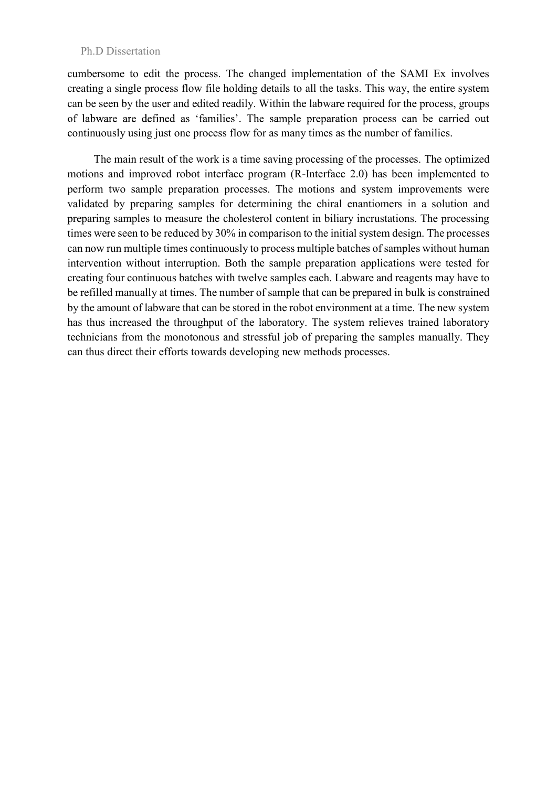#### Ph.D Dissertation

cumbersome to edit the process. The changed implementation of the SAMI Ex involves creating a single process flow file holding details to all the tasks. This way, the entire system can be seen by the user and edited readily. Within the labware required for the process, groups of labware are defined as 'families'. The sample preparation process can be carried out continuously using just one process flow for as many times as the number of families.

The main result of the work is a time saving processing of the processes. The optimized motions and improved robot interface program (R-Interface 2.0) has been implemented to perform two sample preparation processes. The motions and system improvements were validated by preparing samples for determining the chiral enantiomers in a solution and preparing samples to measure the cholesterol content in biliary incrustations. The processing times were seen to be reduced by 30% in comparison to the initial system design. The processes can now run multiple times continuously to process multiple batches of samples without human intervention without interruption. Both the sample preparation applications were tested for creating four continuous batches with twelve samples each. Labware and reagents may have to be refilled manually at times. The number of sample that can be prepared in bulk is constrained by the amount of labware that can be stored in the robot environment at a time. The new system has thus increased the throughput of the laboratory. The system relieves trained laboratory technicians from the monotonous and stressful job of preparing the samples manually. They can thus direct their efforts towards developing new methods processes.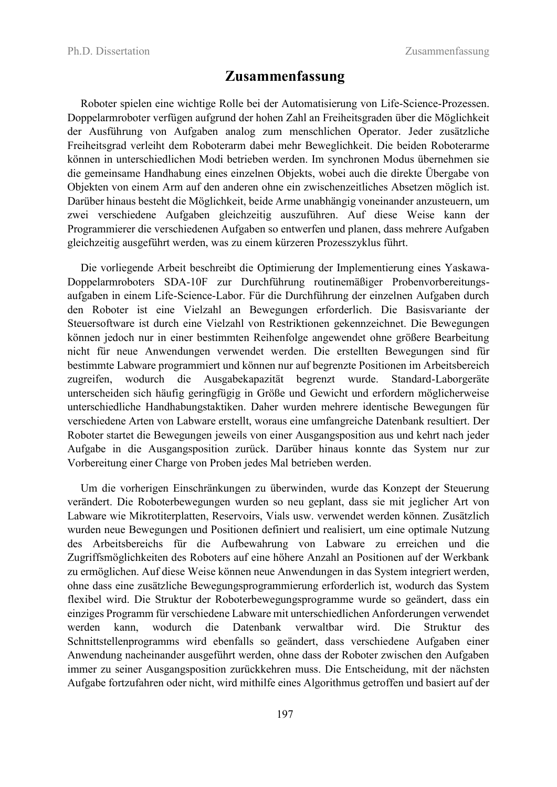## Zusammenfassung

Roboter spielen eine wichtige Rolle bei der Automatisierung von Life-Science-Prozessen. Doppelarmroboter verfügen aufgrund der hohen Zahl an Freiheitsgraden über die Möglichkeit der Ausführung von Aufgaben analog zum menschlichen Operator. Jeder zusätzliche Freiheitsgrad verleiht dem Roboterarm dabei mehr Beweglichkeit. Die beiden Roboterarme können in unterschiedlichen Modi betrieben werden. Im synchronen Modus übernehmen sie die gemeinsame Handhabung eines einzelnen Objekts, wobei auch die direkte Übergabe von Objekten von einem Arm auf den anderen ohne ein zwischenzeitliches Absetzen möglich ist. Darüber hinaus besteht die Möglichkeit, beide Arme unabhängig voneinander anzusteuern, um zwei verschiedene Aufgaben gleichzeitig auszuführen. Auf diese Weise kann der Programmierer die verschiedenen Aufgaben so entwerfen und planen, dass mehrere Aufgaben gleichzeitig ausgeführt werden, was zu einem kürzeren Prozesszyklus führt.

Die vorliegende Arbeit beschreibt die Optimierung der Implementierung eines Yaskawa-Doppelarmroboters SDA-10F zur Durchführung routinemäßiger Probenvorbereitungsaufgaben in einem Life-Science-Labor. Für die Durchführung der einzelnen Aufgaben durch den Roboter ist eine Vielzahl an Bewegungen erforderlich. Die Basisvariante der Steuersoftware ist durch eine Vielzahl von Restriktionen gekennzeichnet. Die Bewegungen können jedoch nur in einer bestimmten Reihenfolge angewendet ohne größere Bearbeitung nicht für neue Anwendungen verwendet werden. Die erstellten Bewegungen sind für bestimmte Labware programmiert und können nur auf begrenzte Positionen im Arbeitsbereich zugreifen, wodurch die Ausgabekapazität begrenzt wurde. Standard-Laborgeräte unterscheiden sich häufig geringfügig in Größe und Gewicht und erfordern möglicherweise unterschiedliche Handhabungstaktiken. Daher wurden mehrere identische Bewegungen für verschiedene Arten von Labware erstellt, woraus eine umfangreiche Datenbank resultiert. Der Roboter startet die Bewegungen jeweils von einer Ausgangsposition aus und kehrt nach jeder Aufgabe in die Ausgangsposition zurück. Darüber hinaus konnte das System nur zur Vorbereitung einer Charge von Proben jedes Mal betrieben werden.

Um die vorherigen Einschränkungen zu überwinden, wurde das Konzept der Steuerung verändert. Die Roboterbewegungen wurden so neu geplant, dass sie mit jeglicher Art von Labware wie Mikrotiterplatten, Reservoirs, Vials usw. verwendet werden können. Zusätzlich wurden neue Bewegungen und Positionen definiert und realisiert, um eine optimale Nutzung des Arbeitsbereichs für die Aufbewahrung von Labware zu erreichen und die Zugriffsmöglichkeiten des Roboters auf eine höhere Anzahl an Positionen auf der Werkbank zu ermöglichen. Auf diese Weise können neue Anwendungen in das System integriert werden, ohne dass eine zusätzliche Bewegungsprogrammierung erforderlich ist, wodurch das System flexibel wird. Die Struktur der Roboterbewegungsprogramme wurde so geändert, dass ein einziges Programm für verschiedene Labware mit unterschiedlichen Anforderungen verwendet werden kann, wodurch die Datenbank verwaltbar wird. Die Struktur des Schnittstellenprogramms wird ebenfalls so geändert, dass verschiedene Aufgaben einer Anwendung nacheinander ausgeführt werden, ohne dass der Roboter zwischen den Aufgaben immer zu seiner Ausgangsposition zurückkehren muss. Die Entscheidung, mit der nächsten Aufgabe fortzufahren oder nicht, wird mithilfe eines Algorithmus getroffen und basiert auf der